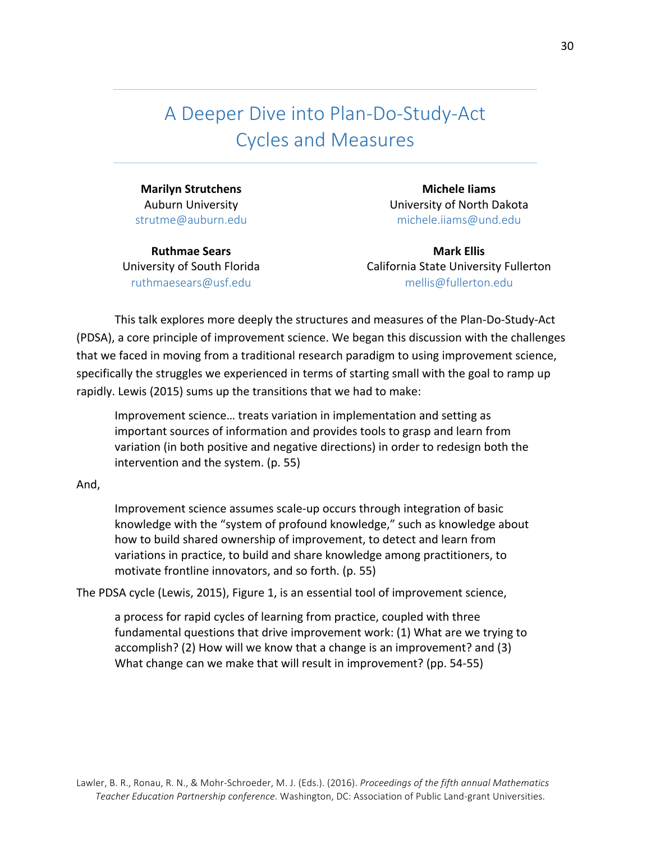A Deeper Dive into Plan-Do-Study-Act Cycles and Measures

**Marilyn Strutchens** Auburn University strutme@auburn.edu

**Ruthmae Sears** University of South Florida ruthmaesears@usf.edu

**Michele Iiams** University of North Dakota michele.iiams@und.edu

**Mark Ellis** California State University Fullerton mellis@fullerton.edu

This talk explores more deeply the structures and measures of the Plan-Do-Study-Act (PDSA), a core principle of improvement science. We began this discussion with the challenges that we faced in moving from a traditional research paradigm to using improvement science, specifically the struggles we experienced in terms of starting small with the goal to ramp up rapidly. Lewis (2015) sums up the transitions that we had to make:

Improvement science... treats variation in implementation and setting as important sources of information and provides tools to grasp and learn from variation (in both positive and negative directions) in order to redesign both the intervention and the system.  $(p. 55)$ 

## And,

Improvement science assumes scale-up occurs through integration of basic knowledge with the "system of profound knowledge," such as knowledge about how to build shared ownership of improvement, to detect and learn from variations in practice, to build and share knowledge among practitioners, to motivate frontline innovators, and so forth.  $(p. 55)$ 

The PDSA cycle (Lewis, 2015), Figure 1, is an essential tool of improvement science,

a process for rapid cycles of learning from practice, coupled with three fundamental questions that drive improvement work:  $(1)$  What are we trying to accomplish? (2) How will we know that a change is an improvement? and (3) What change can we make that will result in improvement? (pp. 54-55)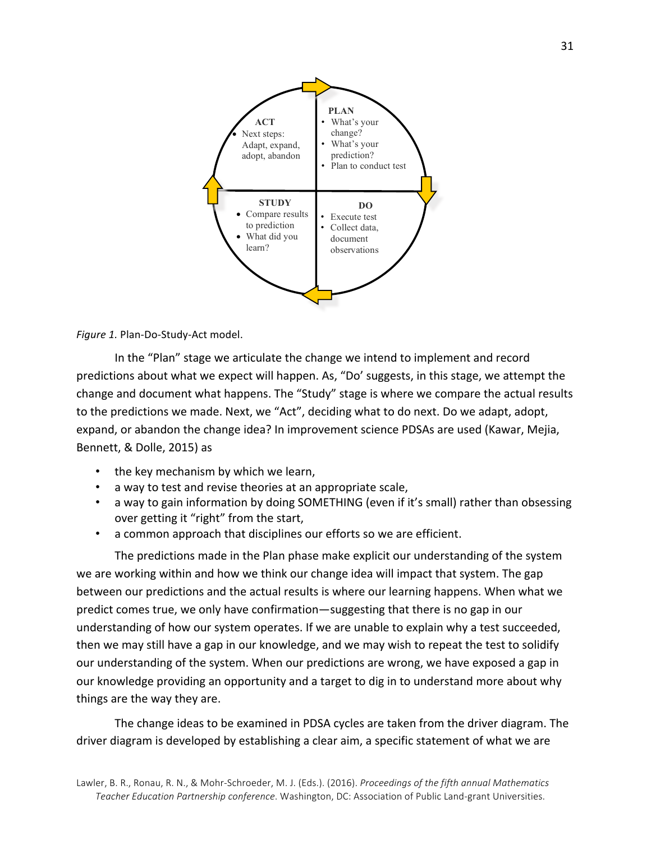



In the "Plan" stage we articulate the change we intend to implement and record predictions about what we expect will happen. As, "Do' suggests, in this stage, we attempt the change and document what happens. The "Study" stage is where we compare the actual results to the predictions we made. Next, we "Act", deciding what to do next. Do we adapt, adopt, expand, or abandon the change idea? In improvement science PDSAs are used (Kawar, Mejia, Bennett, & Dolle, 2015) as

- the key mechanism by which we learn,
- a way to test and revise theories at an appropriate scale,
- a way to gain information by doing SOMETHING (even if it's small) rather than obsessing over getting it "right" from the start,
- a common approach that disciplines our efforts so we are efficient.

The predictions made in the Plan phase make explicit our understanding of the system we are working within and how we think our change idea will impact that system. The gap between our predictions and the actual results is where our learning happens. When what we predict comes true, we only have confirmation—suggesting that there is no gap in our understanding of how our system operates. If we are unable to explain why a test succeeded, then we may still have a gap in our knowledge, and we may wish to repeat the test to solidify our understanding of the system. When our predictions are wrong, we have exposed a gap in our knowledge providing an opportunity and a target to dig in to understand more about why things are the way they are.

The change ideas to be examined in PDSA cycles are taken from the driver diagram. The driver diagram is developed by establishing a clear aim, a specific statement of what we are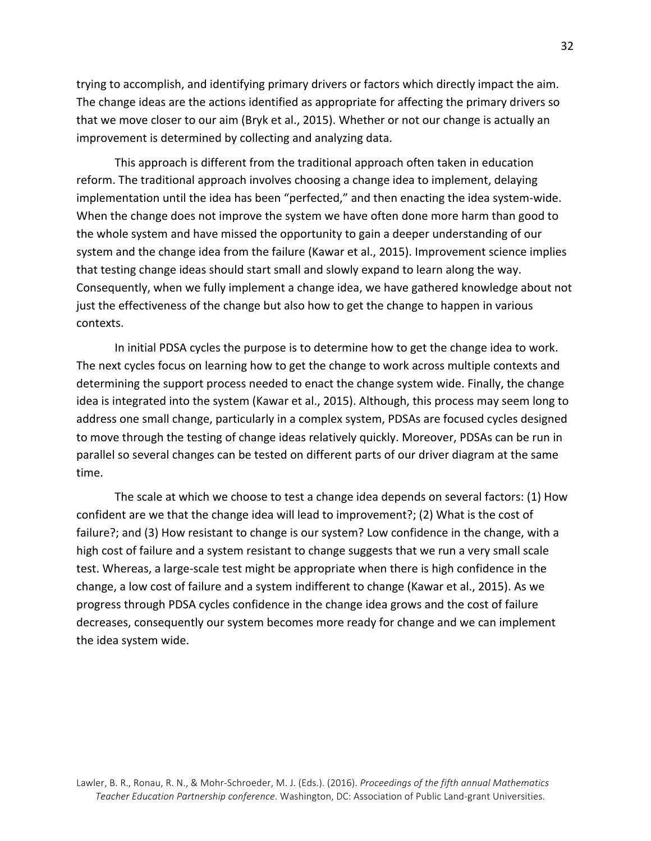trying to accomplish, and identifying primary drivers or factors which directly impact the aim. The change ideas are the actions identified as appropriate for affecting the primary drivers so that we move closer to our aim (Bryk et al., 2015). Whether or not our change is actually an improvement is determined by collecting and analyzing data.

This approach is different from the traditional approach often taken in education reform. The traditional approach involves choosing a change idea to implement, delaying implementation until the idea has been "perfected," and then enacting the idea system-wide. When the change does not improve the system we have often done more harm than good to the whole system and have missed the opportunity to gain a deeper understanding of our system and the change idea from the failure (Kawar et al., 2015). Improvement science implies that testing change ideas should start small and slowly expand to learn along the way. Consequently, when we fully implement a change idea, we have gathered knowledge about not just the effectiveness of the change but also how to get the change to happen in various contexts.

In initial PDSA cycles the purpose is to determine how to get the change idea to work. The next cycles focus on learning how to get the change to work across multiple contexts and determining the support process needed to enact the change system wide. Finally, the change idea is integrated into the system (Kawar et al., 2015). Although, this process may seem long to address one small change, particularly in a complex system, PDSAs are focused cycles designed to move through the testing of change ideas relatively quickly. Moreover, PDSAs can be run in parallel so several changes can be tested on different parts of our driver diagram at the same time.

The scale at which we choose to test a change idea depends on several factors: (1) How confident are we that the change idea will lead to improvement?; (2) What is the cost of failure?; and (3) How resistant to change is our system? Low confidence in the change, with a high cost of failure and a system resistant to change suggests that we run a very small scale test. Whereas, a large-scale test might be appropriate when there is high confidence in the change, a low cost of failure and a system indifferent to change (Kawar et al., 2015). As we progress through PDSA cycles confidence in the change idea grows and the cost of failure decreases, consequently our system becomes more ready for change and we can implement the idea system wide.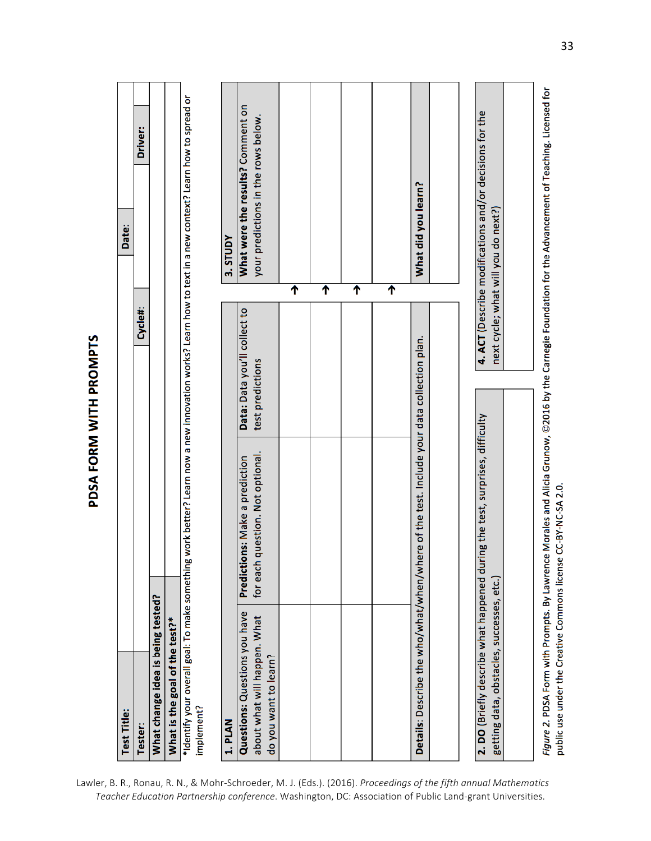PDSA FORM WITH PROMPTS

| <b>Test Title:</b>                                                                      |                                                                    |                                                  | Date:                                                                                                                                                    |  |
|-----------------------------------------------------------------------------------------|--------------------------------------------------------------------|--------------------------------------------------|----------------------------------------------------------------------------------------------------------------------------------------------------------|--|
| Tester:                                                                                 |                                                                    | Cycle#:                                          | Driver:                                                                                                                                                  |  |
| What change idea is being tested?                                                       |                                                                    |                                                  |                                                                                                                                                          |  |
| What is the goal of the test?*                                                          |                                                                    |                                                  |                                                                                                                                                          |  |
| implement?                                                                              |                                                                    |                                                  | *Identify your overall goal: To make something work better? Learn now a new innovation works? Learn how to text in a new context? Learn how to spread or |  |
| 1. PLAN                                                                                 |                                                                    |                                                  | 3. STUDY                                                                                                                                                 |  |
| Questions: Questions you have<br>about what will happen. What<br>do you want to learn?  | for each question. Not optional.<br>Predictions: Make a prediction | Data: Data you'll collect to<br>test predictions | What were the results? Comment on<br>your predictions in the rows below.                                                                                 |  |
|                                                                                         |                                                                    |                                                  | ↑                                                                                                                                                        |  |
|                                                                                         |                                                                    |                                                  | ↑                                                                                                                                                        |  |
|                                                                                         |                                                                    |                                                  | ↑                                                                                                                                                        |  |
|                                                                                         |                                                                    |                                                  | ሳ                                                                                                                                                        |  |
| Details: Describe the who/what/when/when                                                | e of the test. Include your data collection plan.                  |                                                  | What did you learn?                                                                                                                                      |  |
|                                                                                         |                                                                    |                                                  |                                                                                                                                                          |  |
| 2. DO (Briefly describe what happened durin<br>getting data, obstacles, successes, etc. | ig the test, surprises, difficulty                                 |                                                  | 4. ACT (Describe modifications and/or decisions for the<br>next cycle; what will you do next?)                                                           |  |

Lawler, B. R., Ronau, R. N., & Mohr-Schroeder, M. J. (Eds.). (2016). Proceedings of the fifth annual Mathematics Teacher Education Partnership conference. Washington, DC: Association of Public Land-grant Universities.

Figure 2. PDSA Form with Prompts. By Lawrence Morales and Alicia Grunow, ©2016 by the Carnegie Foundation for the Advancement of Teaching. Licensed for

public use under the Creative Commons license CC-BY-NC-SA 2.0.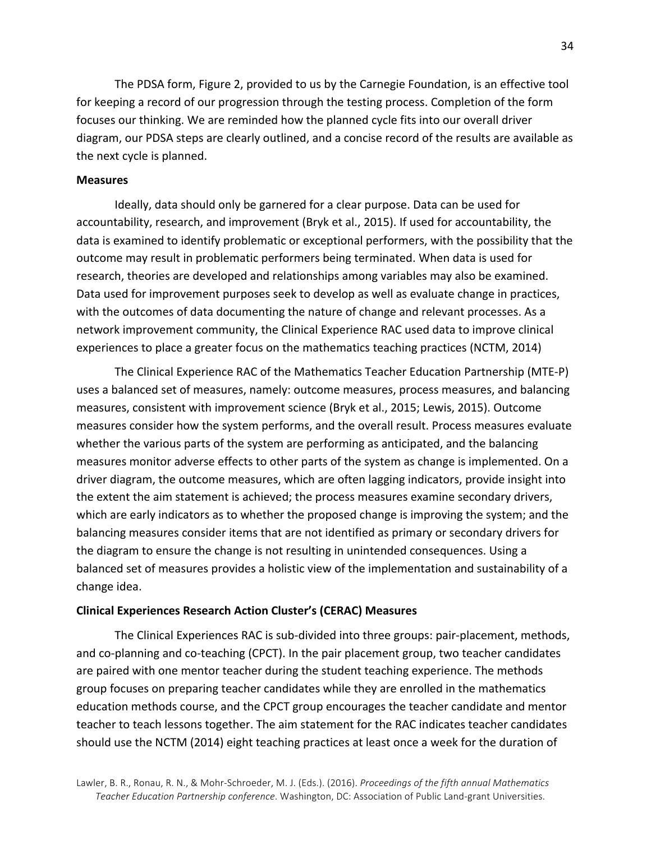The PDSA form, Figure 2, provided to us by the Carnegie Foundation, is an effective tool for keeping a record of our progression through the testing process. Completion of the form focuses our thinking. We are reminded how the planned cycle fits into our overall driver diagram, our PDSA steps are clearly outlined, and a concise record of the results are available as the next cycle is planned.

## **Measures**

Ideally, data should only be garnered for a clear purpose. Data can be used for accountability, research, and improvement (Bryk et al., 2015). If used for accountability, the data is examined to identify problematic or exceptional performers, with the possibility that the outcome may result in problematic performers being terminated. When data is used for research, theories are developed and relationships among variables may also be examined. Data used for improvement purposes seek to develop as well as evaluate change in practices, with the outcomes of data documenting the nature of change and relevant processes. As a network improvement community, the Clinical Experience RAC used data to improve clinical experiences to place a greater focus on the mathematics teaching practices (NCTM, 2014)

The Clinical Experience RAC of the Mathematics Teacher Education Partnership (MTE-P) uses a balanced set of measures, namely: outcome measures, process measures, and balancing measures, consistent with improvement science (Bryk et al., 2015; Lewis, 2015). Outcome measures consider how the system performs, and the overall result. Process measures evaluate whether the various parts of the system are performing as anticipated, and the balancing measures monitor adverse effects to other parts of the system as change is implemented. On a driver diagram, the outcome measures, which are often lagging indicators, provide insight into the extent the aim statement is achieved; the process measures examine secondary drivers, which are early indicators as to whether the proposed change is improving the system; and the balancing measures consider items that are not identified as primary or secondary drivers for the diagram to ensure the change is not resulting in unintended consequences. Using a balanced set of measures provides a holistic view of the implementation and sustainability of a change idea.

## **Clinical Experiences Research Action Cluster's (CERAC) Measures**

The Clinical Experiences RAC is sub-divided into three groups: pair-placement, methods, and co-planning and co-teaching (CPCT). In the pair placement group, two teacher candidates are paired with one mentor teacher during the student teaching experience. The methods group focuses on preparing teacher candidates while they are enrolled in the mathematics education methods course, and the CPCT group encourages the teacher candidate and mentor teacher to teach lessons together. The aim statement for the RAC indicates teacher candidates should use the NCTM (2014) eight teaching practices at least once a week for the duration of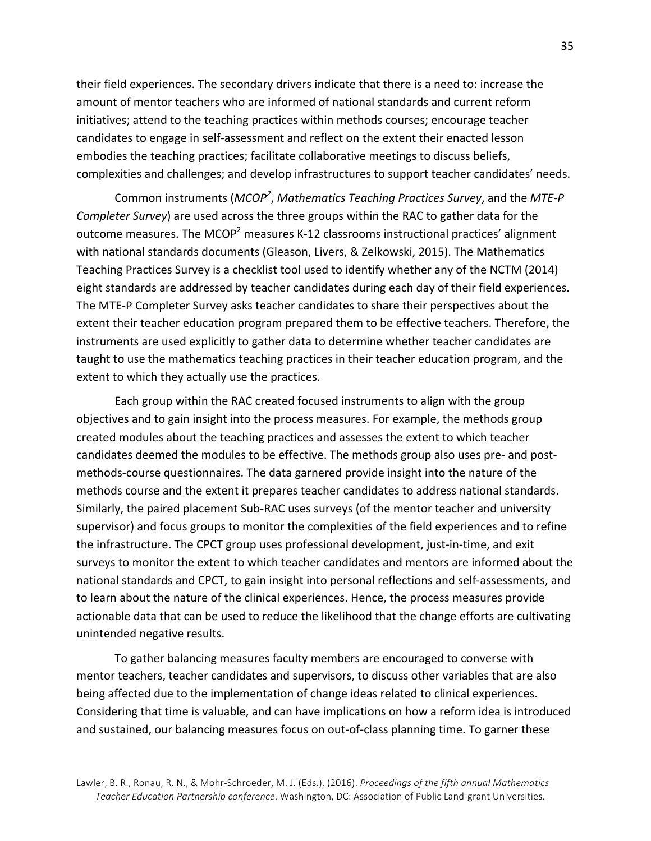their field experiences. The secondary drivers indicate that there is a need to: increase the amount of mentor teachers who are informed of national standards and current reform initiatives; attend to the teaching practices within methods courses; encourage teacher candidates to engage in self-assessment and reflect on the extent their enacted lesson embodies the teaching practices; facilitate collaborative meetings to discuss beliefs, complexities and challenges; and develop infrastructures to support teacher candidates' needs.

Common instruments (*MCOP<sup>2</sup>, Mathematics Teaching Practices Survey*, and the *MTE-P Completer Survey*) are used across the three groups within the RAC to gather data for the outcome measures. The MCOP<sup>2</sup> measures K-12 classrooms instructional practices' alignment with national standards documents (Gleason, Livers, & Zelkowski, 2015). The Mathematics Teaching Practices Survey is a checklist tool used to identify whether any of the NCTM (2014) eight standards are addressed by teacher candidates during each day of their field experiences. The MTE-P Completer Survey asks teacher candidates to share their perspectives about the extent their teacher education program prepared them to be effective teachers. Therefore, the instruments are used explicitly to gather data to determine whether teacher candidates are taught to use the mathematics teaching practices in their teacher education program, and the extent to which they actually use the practices.

Each group within the RAC created focused instruments to align with the group objectives and to gain insight into the process measures. For example, the methods group created modules about the teaching practices and assesses the extent to which teacher candidates deemed the modules to be effective. The methods group also uses pre- and postmethods-course questionnaires. The data garnered provide insight into the nature of the methods course and the extent it prepares teacher candidates to address national standards. Similarly, the paired placement Sub-RAC uses surveys (of the mentor teacher and university supervisor) and focus groups to monitor the complexities of the field experiences and to refine the infrastructure. The CPCT group uses professional development, just-in-time, and exit surveys to monitor the extent to which teacher candidates and mentors are informed about the national standards and CPCT, to gain insight into personal reflections and self-assessments, and to learn about the nature of the clinical experiences. Hence, the process measures provide actionable data that can be used to reduce the likelihood that the change efforts are cultivating unintended negative results.

To gather balancing measures faculty members are encouraged to converse with mentor teachers, teacher candidates and supervisors, to discuss other variables that are also being affected due to the implementation of change ideas related to clinical experiences. Considering that time is valuable, and can have implications on how a reform idea is introduced and sustained, our balancing measures focus on out-of-class planning time. To garner these